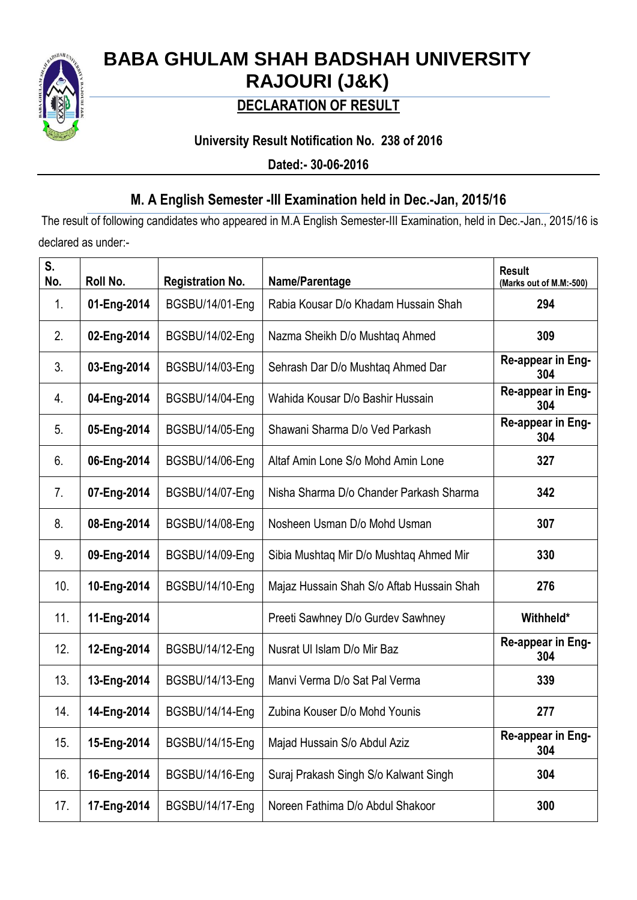

# **BABA GHULAM SHAH BADSHAH UNIVERSITY RAJOURI (J&K)**

## **DECLARATION OF RESULT**

## **University Result Notification No. 238 of 2016**

**Dated:- 30-06-2016**

## **M. A English Semester -III Examination held in Dec.-Jan, 2015/16**

The result of following candidates who appeared in M.A English Semester-III Examination, held in Dec.-Jan., 2015/16 is declared as under:-

| S.<br>No. | Roll No.    | <b>Registration No.</b> | Name/Parentage                            | <b>Result</b><br>(Marks out of M.M:-500) |
|-----------|-------------|-------------------------|-------------------------------------------|------------------------------------------|
| 1.        | 01-Eng-2014 | BGSBU/14/01-Eng         | Rabia Kousar D/o Khadam Hussain Shah      | 294                                      |
| 2.        | 02-Eng-2014 | BGSBU/14/02-Eng         | Nazma Sheikh D/o Mushtaq Ahmed            | 309                                      |
| 3.        | 03-Eng-2014 | BGSBU/14/03-Eng         | Sehrash Dar D/o Mushtaq Ahmed Dar         | Re-appear in Eng-<br>304                 |
| 4.        | 04-Eng-2014 | BGSBU/14/04-Eng         | Wahida Kousar D/o Bashir Hussain          | Re-appear in Eng-<br>304                 |
| 5.        | 05-Eng-2014 | BGSBU/14/05-Eng         | Shawani Sharma D/o Ved Parkash            | Re-appear in Eng-<br>304                 |
| 6.        | 06-Eng-2014 | BGSBU/14/06-Eng         | Altaf Amin Lone S/o Mohd Amin Lone        | 327                                      |
| 7.        | 07-Eng-2014 | BGSBU/14/07-Eng         | Nisha Sharma D/o Chander Parkash Sharma   | 342                                      |
| 8.        | 08-Eng-2014 | BGSBU/14/08-Eng         | Nosheen Usman D/o Mohd Usman              | 307                                      |
| 9.        | 09-Eng-2014 | BGSBU/14/09-Eng         | Sibia Mushtaq Mir D/o Mushtaq Ahmed Mir   | 330                                      |
| 10.       | 10-Eng-2014 | BGSBU/14/10-Eng         | Majaz Hussain Shah S/o Aftab Hussain Shah | 276                                      |
| 11.       | 11-Eng-2014 |                         | Preeti Sawhney D/o Gurdev Sawhney         | Withheld*                                |
| 12.       | 12-Eng-2014 | BGSBU/14/12-Eng         | Nusrat UI Islam D/o Mir Baz               | Re-appear in Eng-<br>304                 |
| 13.       | 13-Eng-2014 | BGSBU/14/13-Eng         | Manvi Verma D/o Sat Pal Verma             | 339                                      |
| 14.       | 14-Eng-2014 | BGSBU/14/14-Eng         | Zubina Kouser D/o Mohd Younis             | 277                                      |
| 15.       | 15-Eng-2014 | BGSBU/14/15-Eng         | Majad Hussain S/o Abdul Aziz              | Re-appear in Eng-<br>304                 |
| 16.       | 16-Eng-2014 | BGSBU/14/16-Eng         | Suraj Prakash Singh S/o Kalwant Singh     | 304                                      |
| 17.       | 17-Eng-2014 | BGSBU/14/17-Eng         | Noreen Fathima D/o Abdul Shakoor          | 300                                      |